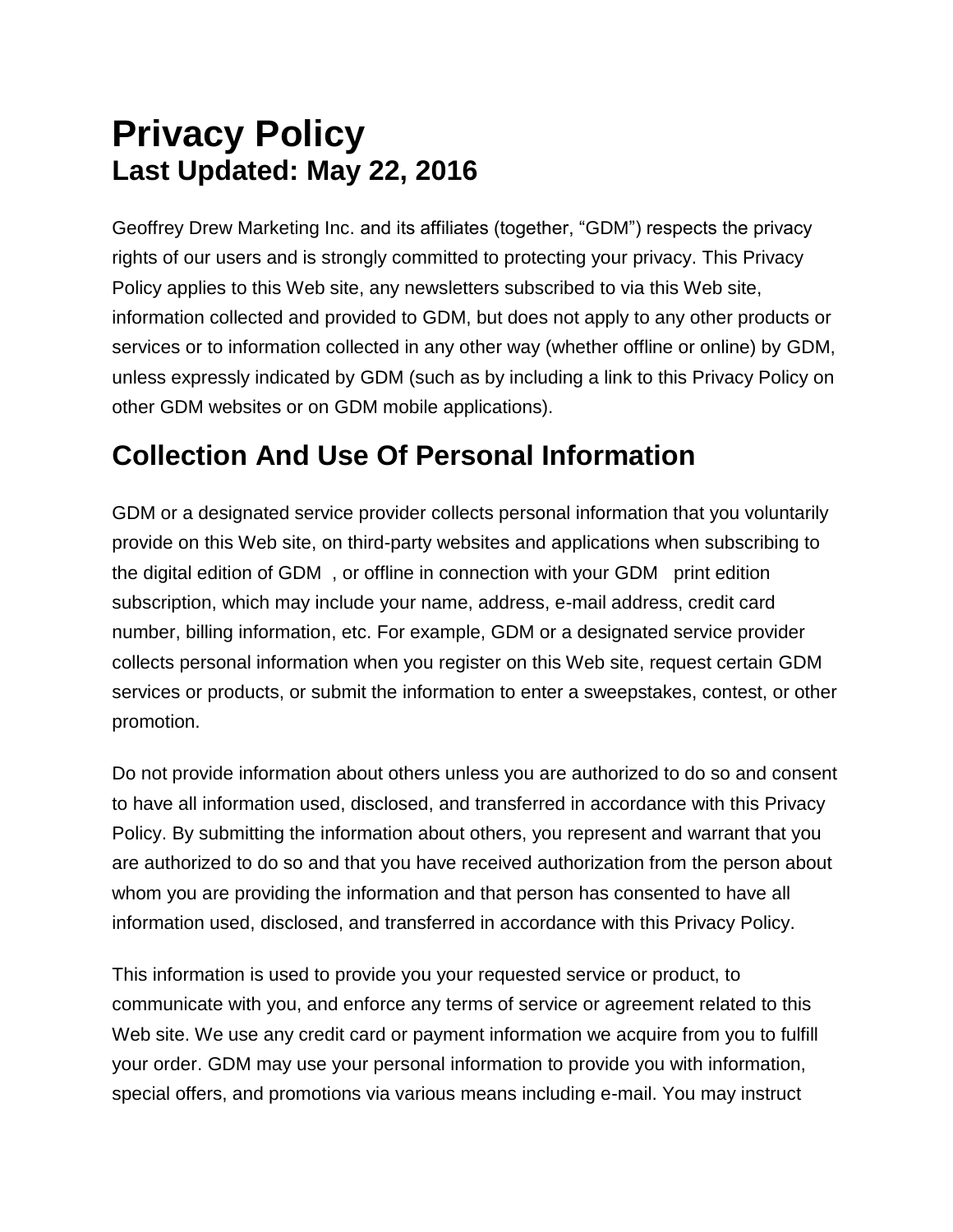# **Privacy Policy Last Updated: May 22, 2016**

Geoffrey Drew Marketing Inc. and its affiliates (together, "GDM") respects the privacy rights of our users and is strongly committed to protecting your privacy. This Privacy Policy applies to this Web site, any newsletters subscribed to via this Web site, information collected and provided to GDM, but does not apply to any other products or services or to information collected in any other way (whether offline or online) by GDM, unless expressly indicated by GDM (such as by including a link to this Privacy Policy on other GDM websites or on GDM mobile applications).

# **Collection And Use Of Personal Information**

GDM or a designated service provider collects personal information that you voluntarily provide on this Web site, on third-party websites and applications when subscribing to the digital edition of GDM , or offline in connection with your GDM print edition subscription, which may include your name, address, e-mail address, credit card number, billing information, etc. For example, GDM or a designated service provider collects personal information when you register on this Web site, request certain GDM services or products, or submit the information to enter a sweepstakes, contest, or other promotion.

Do not provide information about others unless you are authorized to do so and consent to have all information used, disclosed, and transferred in accordance with this Privacy Policy. By submitting the information about others, you represent and warrant that you are authorized to do so and that you have received authorization from the person about whom you are providing the information and that person has consented to have all information used, disclosed, and transferred in accordance with this Privacy Policy.

This information is used to provide you your requested service or product, to communicate with you, and enforce any terms of service or agreement related to this Web site. We use any credit card or payment information we acquire from you to fulfill your order. GDM may use your personal information to provide you with information, special offers, and promotions via various means including e-mail. You may instruct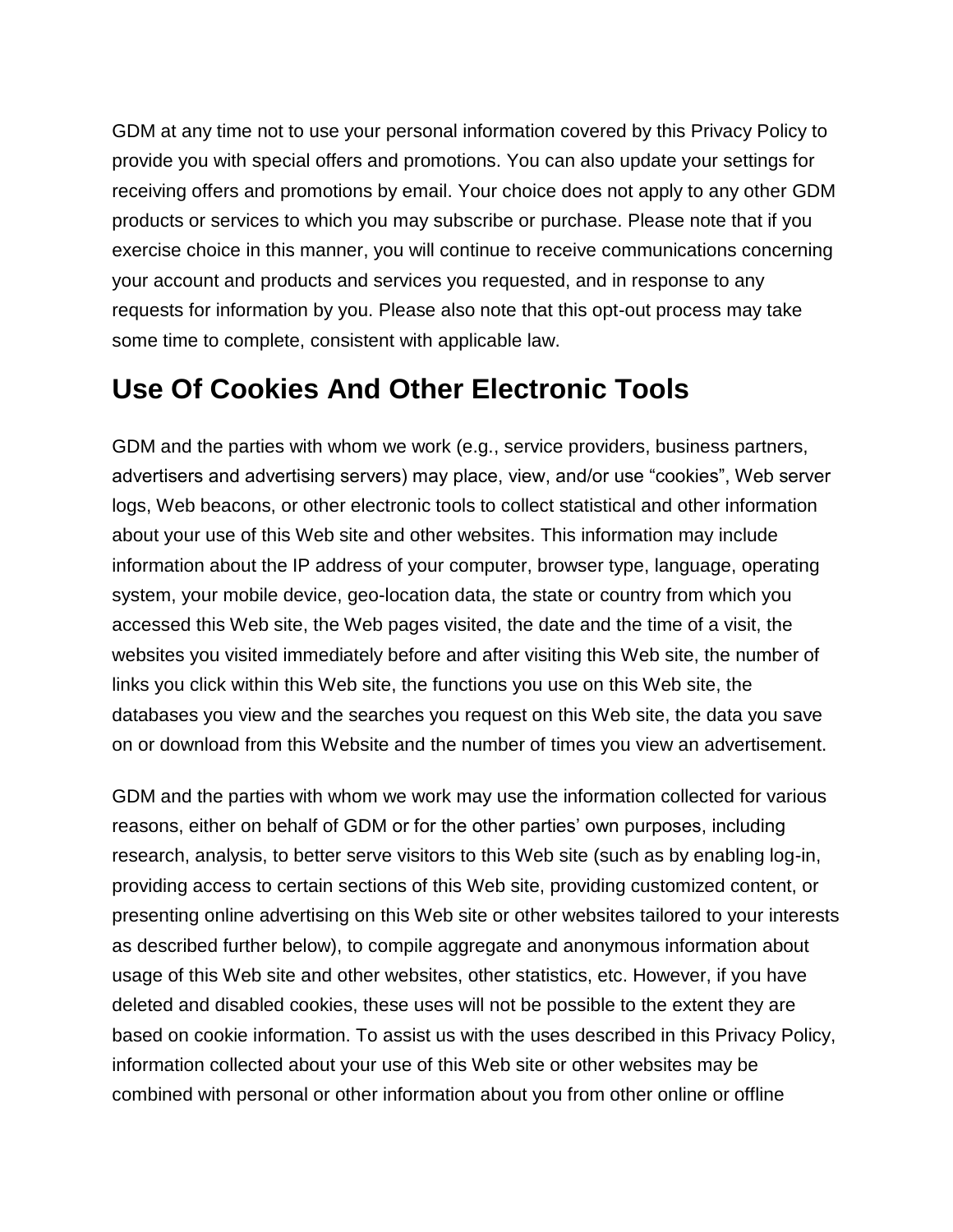GDM at any time not to use your personal information covered by this Privacy Policy to provide you with special offers and promotions. You can also update your settings for receiving offers and promotions by email. Your choice does not apply to any other GDM products or services to which you may subscribe or purchase. Please note that if you exercise choice in this manner, you will continue to receive communications concerning your account and products and services you requested, and in response to any requests for information by you. Please also note that this opt-out process may take some time to complete, consistent with applicable law.

#### **Use Of Cookies And Other Electronic Tools**

GDM and the parties with whom we work (e.g., service providers, business partners, advertisers and advertising servers) may place, view, and/or use "cookies", Web server logs, Web beacons, or other electronic tools to collect statistical and other information about your use of this Web site and other websites. This information may include information about the IP address of your computer, browser type, language, operating system, your mobile device, geo-location data, the state or country from which you accessed this Web site, the Web pages visited, the date and the time of a visit, the websites you visited immediately before and after visiting this Web site, the number of links you click within this Web site, the functions you use on this Web site, the databases you view and the searches you request on this Web site, the data you save on or download from this Website and the number of times you view an advertisement.

GDM and the parties with whom we work may use the information collected for various reasons, either on behalf of GDM or for the other parties' own purposes, including research, analysis, to better serve visitors to this Web site (such as by enabling log-in, providing access to certain sections of this Web site, providing customized content, or presenting online advertising on this Web site or other websites tailored to your interests as described further below), to compile aggregate and anonymous information about usage of this Web site and other websites, other statistics, etc. However, if you have deleted and disabled cookies, these uses will not be possible to the extent they are based on cookie information. To assist us with the uses described in this Privacy Policy, information collected about your use of this Web site or other websites may be combined with personal or other information about you from other online or offline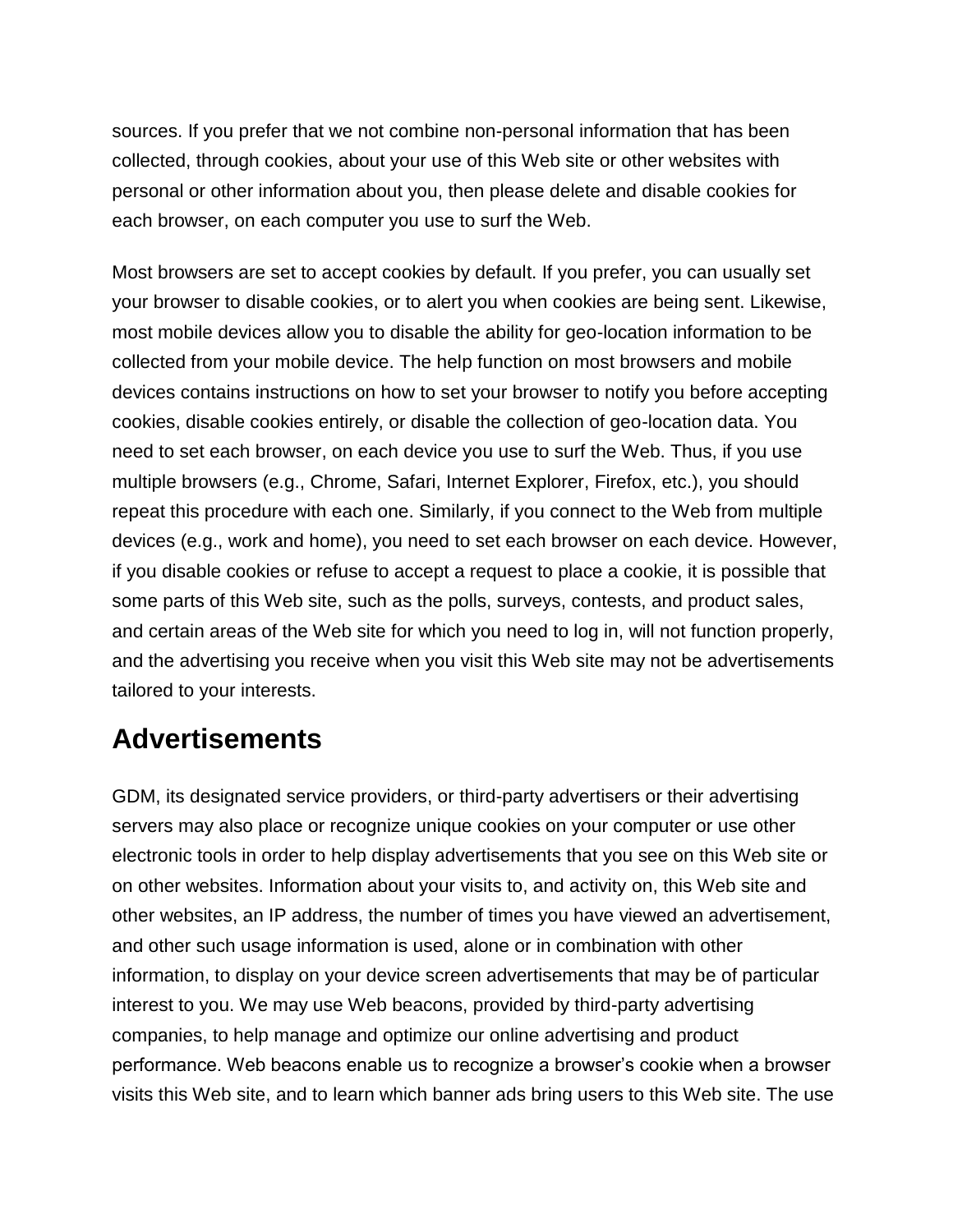sources. If you prefer that we not combine non-personal information that has been collected, through cookies, about your use of this Web site or other websites with personal or other information about you, then please delete and disable cookies for each browser, on each computer you use to surf the Web.

Most browsers are set to accept cookies by default. If you prefer, you can usually set your browser to disable cookies, or to alert you when cookies are being sent. Likewise, most mobile devices allow you to disable the ability for geo-location information to be collected from your mobile device. The help function on most browsers and mobile devices contains instructions on how to set your browser to notify you before accepting cookies, disable cookies entirely, or disable the collection of geo-location data. You need to set each browser, on each device you use to surf the Web. Thus, if you use multiple browsers (e.g., Chrome, Safari, Internet Explorer, Firefox, etc.), you should repeat this procedure with each one. Similarly, if you connect to the Web from multiple devices (e.g., work and home), you need to set each browser on each device. However, if you disable cookies or refuse to accept a request to place a cookie, it is possible that some parts of this Web site, such as the polls, surveys, contests, and product sales, and certain areas of the Web site for which you need to log in, will not function properly, and the advertising you receive when you visit this Web site may not be advertisements tailored to your interests.

#### **Advertisements**

GDM, its designated service providers, or third-party advertisers or their advertising servers may also place or recognize unique cookies on your computer or use other electronic tools in order to help display advertisements that you see on this Web site or on other websites. Information about your visits to, and activity on, this Web site and other websites, an IP address, the number of times you have viewed an advertisement, and other such usage information is used, alone or in combination with other information, to display on your device screen advertisements that may be of particular interest to you. We may use Web beacons, provided by third-party advertising companies, to help manage and optimize our online advertising and product performance. Web beacons enable us to recognize a browser's cookie when a browser visits this Web site, and to learn which banner ads bring users to this Web site. The use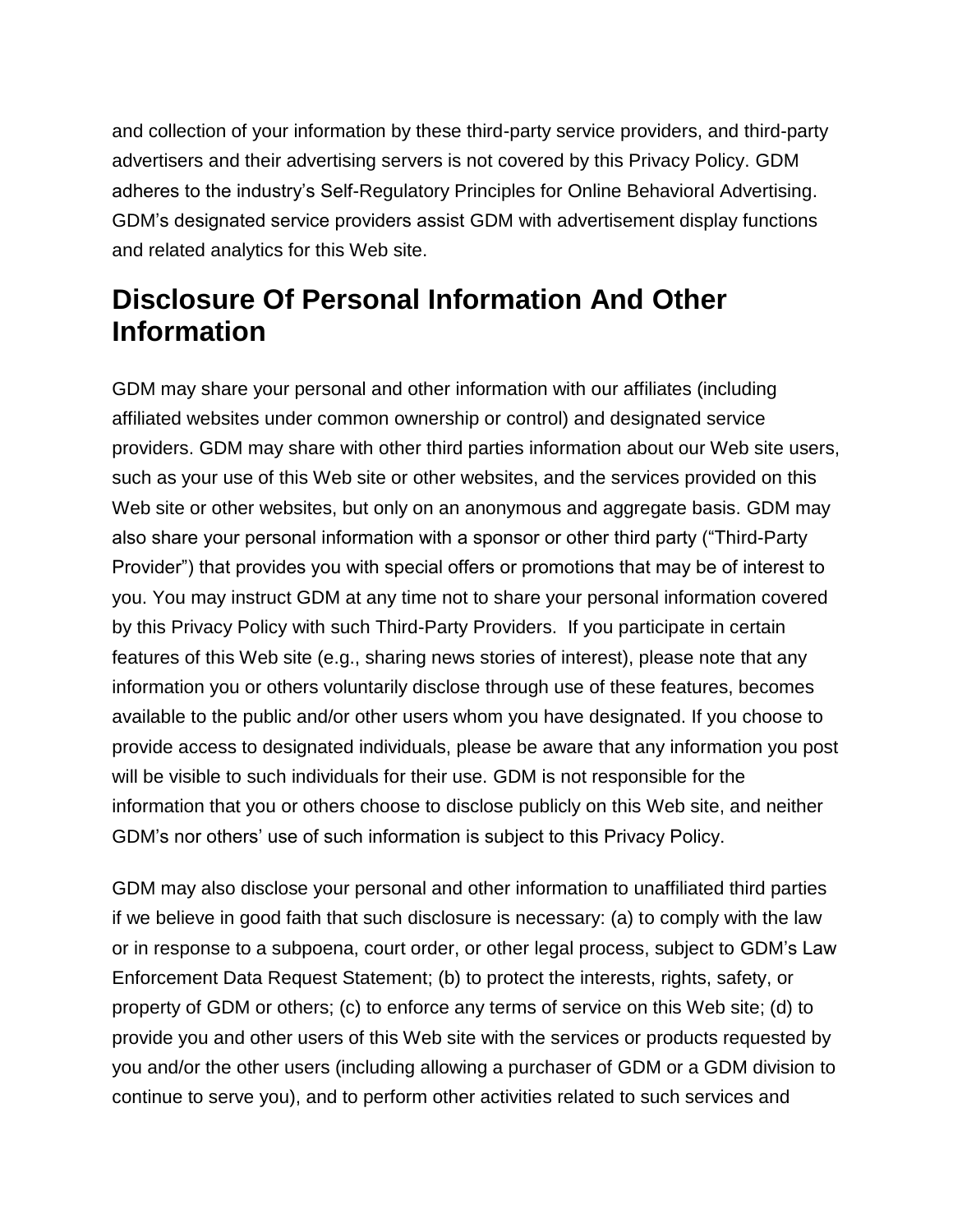and collection of your information by these third-party service providers, and third-party advertisers and their advertising servers is not covered by this Privacy Policy. GDM adheres to the industry's Self-Regulatory Principles for Online Behavioral Advertising. GDM's designated service providers assist GDM with advertisement display functions and related analytics for this Web site.

#### **Disclosure Of Personal Information And Other Information**

GDM may share your personal and other information with our affiliates (including affiliated websites under common ownership or control) and designated service providers. GDM may share with other third parties information about our Web site users, such as your use of this Web site or other websites, and the services provided on this Web site or other websites, but only on an anonymous and aggregate basis. GDM may also share your personal information with a sponsor or other third party ("Third-Party Provider") that provides you with special offers or promotions that may be of interest to you. You may instruct GDM at any time not to share your personal information covered by this Privacy Policy with such Third-Party Providers. If you participate in certain features of this Web site (e.g., sharing news stories of interest), please note that any information you or others voluntarily disclose through use of these features, becomes available to the public and/or other users whom you have designated. If you choose to provide access to designated individuals, please be aware that any information you post will be visible to such individuals for their use. GDM is not responsible for the information that you or others choose to disclose publicly on this Web site, and neither GDM's nor others' use of such information is subject to this Privacy Policy.

GDM may also disclose your personal and other information to unaffiliated third parties if we believe in good faith that such disclosure is necessary: (a) to comply with the law or in response to a subpoena, court order, or other legal process, subject to GDM's Law Enforcement Data Request Statement; (b) to protect the interests, rights, safety, or property of GDM or others; (c) to enforce any terms of service on this Web site; (d) to provide you and other users of this Web site with the services or products requested by you and/or the other users (including allowing a purchaser of GDM or a GDM division to continue to serve you), and to perform other activities related to such services and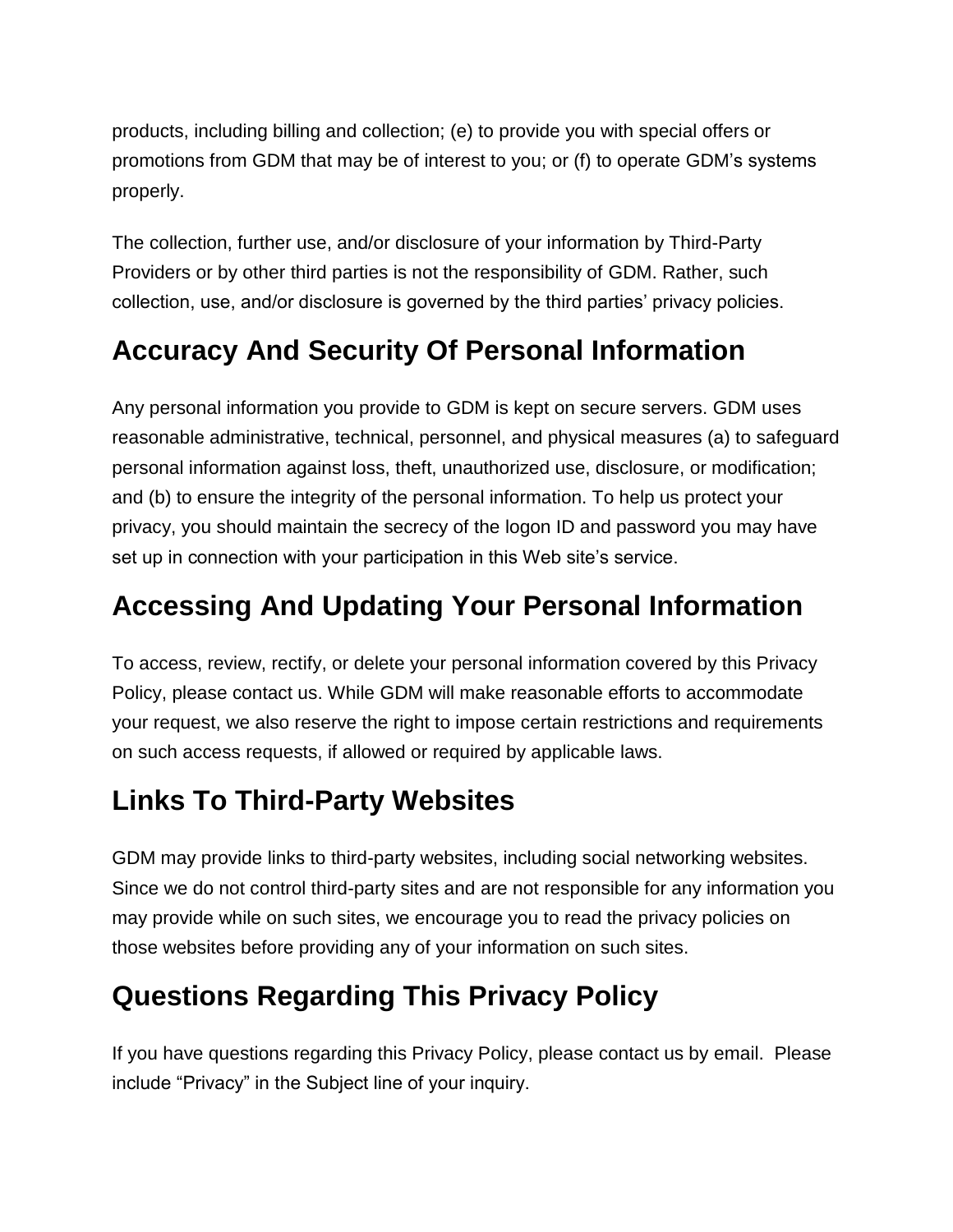products, including billing and collection; (e) to provide you with special offers or promotions from GDM that may be of interest to you; or (f) to operate GDM's systems properly.

The collection, further use, and/or disclosure of your information by Third-Party Providers or by other third parties is not the responsibility of GDM. Rather, such collection, use, and/or disclosure is governed by the third parties' privacy policies.

# **Accuracy And Security Of Personal Information**

Any personal information you provide to GDM is kept on secure servers. GDM uses reasonable administrative, technical, personnel, and physical measures (a) to safeguard personal information against loss, theft, unauthorized use, disclosure, or modification; and (b) to ensure the integrity of the personal information. To help us protect your privacy, you should maintain the secrecy of the logon ID and password you may have set up in connection with your participation in this Web site's service.

## **Accessing And Updating Your Personal Information**

To access, review, rectify, or delete your personal information covered by this Privacy Policy, please contact us. While GDM will make reasonable efforts to accommodate your request, we also reserve the right to impose certain restrictions and requirements on such access requests, if allowed or required by applicable laws.

## **Links To Third-Party Websites**

GDM may provide links to third-party websites, including social networking websites. Since we do not control third-party sites and are not responsible for any information you may provide while on such sites, we encourage you to read the privacy policies on those websites before providing any of your information on such sites.

# **Questions Regarding This Privacy Policy**

If you have questions regarding this Privacy Policy, please contact us by email. Please include "Privacy" in the Subject line of your inquiry.